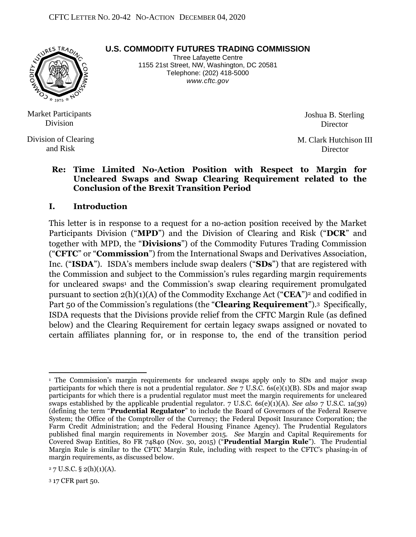

**U.S. COMMODITY FUTURES TRADING COMMISSION**

Three Lafayette Centre 1155 21st Street, NW, Washington, DC 20581 Telephone: (202) 418-5000 *www.cftc.gov*

 Market Participants Division

 and Risk Division of Clearing Joshua B. Sterling **Director** 

M. Clark Hutchison III **Director** 

#### **Re: Time Limited No-Action Position with Respect to Margin for Uncleared Swaps and Swap Clearing Requirement related to the Conclusion of the Brexit Transition Period**

#### **I. Introduction**

This letter is in response to a request for a no-action position received by the Market Participants Division ("**MPD**") and the Division of Clearing and Risk ("**DCR**" and together with MPD, the "**Divisions**") of the Commodity Futures Trading Commission ("**CFTC**" or "**Commission**") from the International Swaps and Derivatives Association, Inc. ("**ISDA**"). ISDA's members include swap dealers ("**SDs**") that are registered with the Commission and subject to the Commission's rules regarding margin requirements for uncleared swaps<sup>1</sup> and the Commission's swap clearing requirement promulgated pursuant to section 2(h)(1)(A) of the Commodity Exchange Act ("**CEA**")2 and codified in Part 50 of the Commission's regulations (the "**Clearing Requirement**"). <sup>3</sup> Specifically, ISDA requests that the Divisions provide relief from the CFTC Margin Rule (as defined below) and the Clearing Requirement for certain legacy swaps assigned or novated to certain affiliates planning for, or in response to, the end of the transition period

<sup>3</sup> 17 CFR part 50.

 $\overline{a}$ <sup>1</sup> The Commission's margin requirements for uncleared swaps apply only to SDs and major swap participants for which there is not a prudential regulator. *See* 7 U.S.C. 6s(e)(1)(B). SDs and major swap participants for which there is a prudential regulator must meet the margin requirements for uncleared swaps established by the applicable prudential regulator. 7 U.S.C. 6s(e)(1)(A). *See also* 7 U.S.C. 1a(39) (defining the term "**Prudential Regulator**" to include the Board of Governors of the Federal Reserve System; the Office of the Comptroller of the Currency; the Federal Deposit Insurance Corporation; the Farm Credit Administration; and the Federal Housing Finance Agency). The Prudential Regulators published final margin requirements in November 2015. *See* Margin and Capital Requirements for Covered Swap Entities, 80 FR 74840 (Nov. 30, 2015) ("**Prudential Margin Rule**"). The Prudential Margin Rule is similar to the CFTC Margin Rule, including with respect to the CFTC's phasing-in of margin requirements, as discussed below.

 $27$  U.S.C. § 2(h)(1)(A).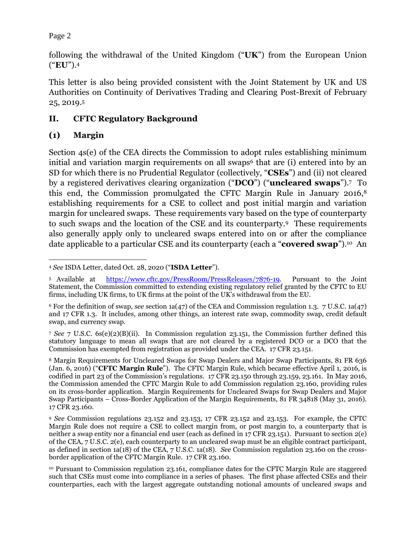following the withdrawal of the United Kingdom ("**UK**") from the European Union ("**EU**").<sup>4</sup>

This letter is also being provided consistent with the Joint Statement by UK and US Authorities on Continuity of Derivatives Trading and Clearing Post-Brexit of February 25, 2019.<sup>5</sup>

## **II. CFTC Regulatory Background**

# **(1) Margin**

Section 4s(e) of the CEA directs the Commission to adopt rules establishing minimum initial and variation margin requirements on all swaps<sup>6</sup> that are (i) entered into by an SD for which there is no Prudential Regulator (collectively, "**CSEs**") and (ii) not cleared by a registered derivatives clearing organization ("**DCO**") ("**uncleared swaps**").7 To this end, the Commission promulgated the CFTC Margin Rule in January 2016,<sup>8</sup> establishing requirements for a CSE to collect and post initial margin and variation margin for uncleared swaps. These requirements vary based on the type of counterparty to such swaps and the location of the CSE and its counterparty.9 These requirements also generally apply only to uncleared swaps entered into on or after the compliance date applicable to a particular CSE and its counterparty (each a "**covered swap**").10 An

<sup>7</sup> *See* 7 U.S.C. 6s(e)(2)(B)(ii). In Commission regulation 23.151, the Commission further defined this statutory language to mean all swaps that are not cleared by a registered DCO or a DCO that the Commission has exempted from registration as provided under the CEA. 17 CFR 23.151.

<sup>8</sup> Margin Requirements for Uncleared Swaps for Swap Dealers and Major Swap Participants, 81 FR 636 (Jan. 6, 2016) ("**CFTC Margin Rule**"). The CFTC Margin Rule, which became effective April 1, 2016, is codified in part 23 of the Commission's regulations. 17 CFR 23.150 through 23.159, 23.161. In May 2016, the Commission amended the CFTC Margin Rule to add Commission regulation 23.160, providing rules on its cross-border application. Margin Requirements for Uncleared Swaps for Swap Dealers and Major Swap Participants – Cross-Border Application of the Margin Requirements, 81 FR 34818 (May 31, 2016). 17 CFR 23.160.

 $\overline{a}$ <sup>4</sup> *See* ISDA Letter, dated Oct. 28, 2020 ("**ISDA Letter**").

<sup>5</sup> Available at [https://www.cftc.gov/PressRoom/PressReleases/7876-19.](https://www.cftc.gov/PressRoom/PressReleases/7876-19) Pursuant to the Joint Statement, the Commission committed to extending existing regulatory relief granted by the CFTC to EU firms, including UK firms, to UK firms at the point of the UK's withdrawal from the EU.

<sup>6</sup> For the definition of swap, *see* section 1a(47) of the CEA and Commission regulation 1.3. 7 U.S.C. 1a(47) and 17 CFR 1.3. It includes, among other things, an interest rate swap, commodity swap, credit default swap, and currency swap.

<sup>9</sup> *See* Commission regulations 23.152 and 23.153, 17 CFR 23.152 and 23.153. For example, the CFTC Margin Rule does not require a CSE to collect margin from, or post margin to, a counterparty that is neither a swap entity nor a financial end user (each as defined in  $17$  CFR 23.151). Pursuant to section 2(e) of the CEA, 7 U.S.C. 2(e), each counterparty to an uncleared swap must be an eligible contract participant, as defined in section 1a(18) of the CEA, 7 U.S.C. 1a(18). *See* Commission regulation 23.160 on the crossborder application of the CFTC Margin Rule. 17 CFR 23.160.

<sup>10</sup> Pursuant to Commission regulation 23.161, compliance dates for the CFTC Margin Rule are staggered such that CSEs must come into compliance in a series of phases. The first phase affected CSEs and their counterparties, each with the largest aggregate outstanding notional amounts of uncleared swaps and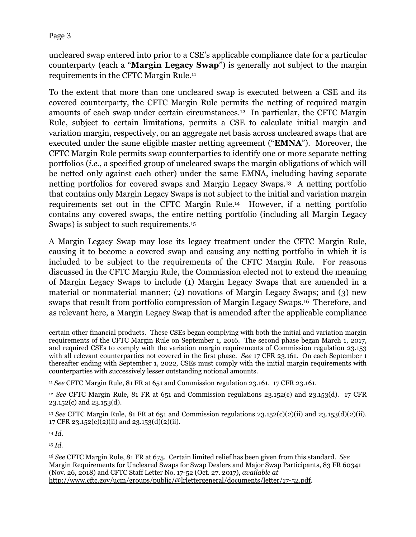uncleared swap entered into prior to a CSE's applicable compliance date for a particular counterparty (each a "**Margin Legacy Swap**") is generally not subject to the margin requirements in the CFTC Margin Rule.<sup>11</sup>

To the extent that more than one uncleared swap is executed between a CSE and its covered counterparty, the CFTC Margin Rule permits the netting of required margin amounts of each swap under certain circumstances.12 In particular, the CFTC Margin Rule, subject to certain limitations, permits a CSE to calculate initial margin and variation margin, respectively, on an aggregate net basis across uncleared swaps that are executed under the same eligible master netting agreement ("**EMNA**"). Moreover, the CFTC Margin Rule permits swap counterparties to identify one or more separate netting portfolios (*i.e.*, a specified group of uncleared swaps the margin obligations of which will be netted only against each other) under the same EMNA, including having separate netting portfolios for covered swaps and Margin Legacy Swaps.13 A netting portfolio that contains only Margin Legacy Swaps is not subject to the initial and variation margin requirements set out in the CFTC Margin Rule.14 However, if a netting portfolio contains any covered swaps, the entire netting portfolio (including all Margin Legacy Swaps) is subject to such requirements.<sup>15</sup>

A Margin Legacy Swap may lose its legacy treatment under the CFTC Margin Rule, causing it to become a covered swap and causing any netting portfolio in which it is included to be subject to the requirements of the CFTC Margin Rule. For reasons discussed in the CFTC Margin Rule, the Commission elected not to extend the meaning of Margin Legacy Swaps to include (1) Margin Legacy Swaps that are amended in a material or nonmaterial manner; (2) novations of Margin Legacy Swaps; and (3) new swaps that result from portfolio compression of Margin Legacy Swaps.16 Therefore, and as relevant here, a Margin Legacy Swap that is amended after the applicable compliance

<sup>11</sup> *See* CFTC Margin Rule, 81 FR at 651 and Commission regulation 23.161. 17 CFR 23.161.

<sup>12</sup> *See* CFTC Margin Rule, 81 FR at 651 and Commission regulations 23.152(c) and 23.153(d). 17 CFR 23.152(c) and 23.153(d).

<sup>13</sup> *See* CFTC Margin Rule, 81 FR at 651 and Commission regulations 23.152(c)(2)(ii) and 23.153(d)(2)(ii). 17 CFR 23.152(c)(2)(ii) and 23.153(d)(2)(ii).

<sup>14</sup> *Id.*

<sup>15</sup> *Id.*

<sup>16</sup> *See* CFTC Margin Rule, 81 FR at 675. Certain limited relief has been given from this standard. *See* Margin Requirements for Uncleared Swaps for Swap Dealers and Major Swap Participants, 83 FR 60341 (Nov. 26, 2018) and CFTC Staff Letter No. 17-52 (Oct. 27. 2017), *available at* [http://www.cftc.gov/ucm/groups/public/@lrlettergeneral/documents/letter/17-52.pdf.](http://www.cftc.gov/ucm/groups/public/@lrlettergeneral/documents/letter/17-52.pdf)

 $\overline{a}$ certain other financial products. These CSEs began complying with both the initial and variation margin requirements of the CFTC Margin Rule on September 1, 2016. The second phase began March 1, 2017, and required CSEs to comply with the variation margin requirements of Commission regulation 23.153 with all relevant counterparties not covered in the first phase. *See* 17 CFR 23.161. On each September 1 thereafter ending with September 1, 2022, CSEs must comply with the initial margin requirements with counterparties with successively lesser outstanding notional amounts.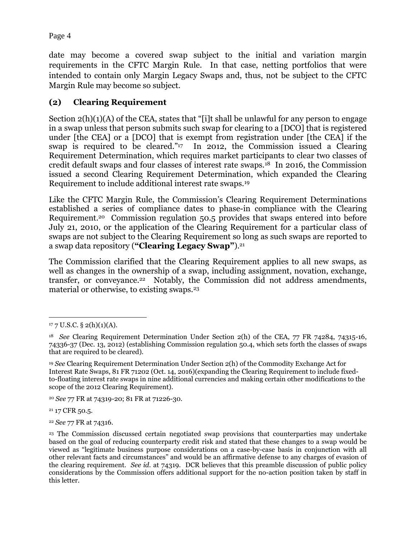date may become a covered swap subject to the initial and variation margin requirements in the CFTC Margin Rule. In that case, netting portfolios that were intended to contain only Margin Legacy Swaps and, thus, not be subject to the CFTC Margin Rule may become so subject.

### **(2) Clearing Requirement**

Section 2(h)(1)(A) of the CEA, states that "[i]t shall be unlawful for any person to engage in a swap unless that person submits such swap for clearing to a [DCO] that is registered under [the CEA] or a [DCO] that is exempt from registration under [the CEA] if the swap is required to be cleared." <sup>17</sup> In 2012, the Commission issued a Clearing Requirement Determination, which requires market participants to clear two classes of credit default swaps and four classes of interest rate swaps.18 In 2016, the Commission issued a second Clearing Requirement Determination, which expanded the Clearing Requirement to include additional interest rate swaps.<sup>19</sup>

Like the CFTC Margin Rule, the Commission's Clearing Requirement Determinations established a series of compliance dates to phase-in compliance with the Clearing Requirement.<sup>20</sup> Commission regulation 50.5 provides that swaps entered into before July 21, 2010, or the application of the Clearing Requirement for a particular class of swaps are not subject to the Clearing Requirement so long as such swaps are reported to a swap data repository (**"Clearing Legacy Swap"**).<sup>21</sup>

The Commission clarified that the Clearing Requirement applies to all new swaps, as well as changes in the ownership of a swap, including assignment, novation, exchange, transfer, or conveyance.<sup>22</sup> Notably, the Commission did not address amendments, material or otherwise, to existing swaps.<sup>23</sup>

<sup>20</sup> *See* 77 FR at 74319-20; 81 FR at 71226-30.

<sup>21</sup> 17 CFR 50.5.

<sup>22</sup> *See* 77 FR at 74316.

 $\overline{a}$  $177 \text{ U.S.C.}$  § 2(h)(1)(A).

<sup>18</sup> *See* Clearing Requirement Determination Under Section 2(h) of the CEA, 77 FR 74284, 74315-16, 74336-37 (Dec. 13, 2012) (establishing Commission regulation 50.4, which sets forth the classes of swaps that are required to be cleared).

<sup>19</sup> *See* Clearing Requirement Determination Under Section 2(h) of the Commodity Exchange Act for Interest Rate Swaps, 81 FR 71202 (Oct. 14, 2016)(expanding the Clearing Requirement to include fixedto-floating interest rate swaps in nine additional currencies and making certain other modifications to the scope of the 2012 Clearing Requirement).

<sup>23</sup> The Commission discussed certain negotiated swap provisions that counterparties may undertake based on the goal of reducing counterparty credit risk and stated that these changes to a swap would be viewed as "legitimate business purpose considerations on a case-by-case basis in conjunction with all other relevant facts and circumstances" and would be an affirmative defense to any charges of evasion of the clearing requirement. *See id.* at 74319. DCR believes that this preamble discussion of public policy considerations by the Commission offers additional support for the no-action position taken by staff in this letter.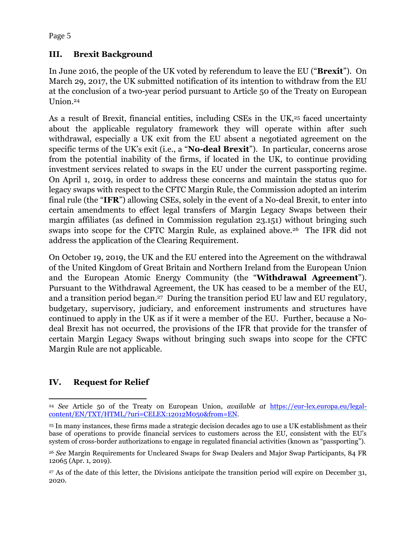## **III. Brexit Background**

In June 2016, the people of the UK voted by referendum to leave the EU ("**Brexit**"). On March 29, 2017, the UK submitted notification of its intention to withdraw from the EU at the conclusion of a two-year period pursuant to Article 50 of the Treaty on European Union.<sup>24</sup>

As a result of Brexit, financial entities, including CSEs in the UK,<sup>25</sup> faced uncertainty about the applicable regulatory framework they will operate within after such withdrawal, especially a UK exit from the EU absent a negotiated agreement on the specific terms of the UK's exit (i.e., a "**No-deal Brexit**"). In particular, concerns arose from the potential inability of the firms, if located in the UK, to continue providing investment services related to swaps in the EU under the current passporting regime. On April 1, 2019, in order to address these concerns and maintain the status quo for legacy swaps with respect to the CFTC Margin Rule, the Commission adopted an interim final rule (the "**IFR**") allowing CSEs, solely in the event of a No-deal Brexit, to enter into certain amendments to effect legal transfers of Margin Legacy Swaps between their margin affiliates (as defined in Commission regulation 23.151) without bringing such swaps into scope for the CFTC Margin Rule, as explained above.26 The IFR did not address the application of the Clearing Requirement.

On October 19, 2019, the UK and the EU entered into the Agreement on the withdrawal of the United Kingdom of Great Britain and Northern Ireland from the European Union and the European Atomic Energy Community (the "**Withdrawal Agreement**"). Pursuant to the Withdrawal Agreement, the UK has ceased to be a member of the EU, and a transition period began.27 During the transition period EU law and EU regulatory, budgetary, supervisory, judiciary, and enforcement instruments and structures have continued to apply in the UK as if it were a member of the EU. Further, because a Nodeal Brexit has not occurred, the provisions of the IFR that provide for the transfer of certain Margin Legacy Swaps without bringing such swaps into scope for the CFTC Margin Rule are not applicable.

# **IV. Request for Relief**

 $\overline{a}$ <sup>24</sup> *See* Article 50 of the Treaty on European Union, *available at* [https://eur-lex.europa.eu/legal](https://eur-lex.europa.eu/legal-content/EN/TXT/HTML/?uri=CELEX:12012M050&from=EN)[content/EN/TXT/HTML/?uri=CELEX:12012M050&from=EN.](https://eur-lex.europa.eu/legal-content/EN/TXT/HTML/?uri=CELEX:12012M050&from=EN)

<sup>25</sup> In many instances, these firms made a strategic decision decades ago to use a UK establishment as their base of operations to provide financial services to customers across the EU, consistent with the EU's system of cross-border authorizations to engage in regulated financial activities (known as "passporting").

<sup>26</sup> *See* Margin Requirements for Uncleared Swaps for Swap Dealers and Major Swap Participants, 84 FR 12065 (Apr. 1, 2019).

<sup>27</sup> As of the date of this letter, the Divisions anticipate the transition period will expire on December 31, 2020.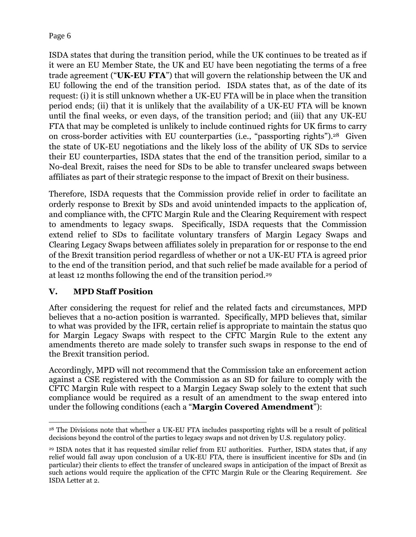ISDA states that during the transition period, while the UK continues to be treated as if it were an EU Member State, the UK and EU have been negotiating the terms of a free trade agreement ("**UK-EU FTA**") that will govern the relationship between the UK and EU following the end of the transition period. ISDA states that, as of the date of its request: (i) it is still unknown whether a UK-EU FTA will be in place when the transition period ends; (ii) that it is unlikely that the availability of a UK-EU FTA will be known until the final weeks, or even days, of the transition period; and (iii) that any UK-EU FTA that may be completed is unlikely to include continued rights for UK firms to carry on cross-border activities with EU counterparties (i.e., "passporting rights").<sup>28</sup> Given the state of UK-EU negotiations and the likely loss of the ability of UK SDs to service their EU counterparties, ISDA states that the end of the transition period, similar to a No-deal Brexit, raises the need for SDs to be able to transfer uncleared swaps between affiliates as part of their strategic response to the impact of Brexit on their business.

Therefore, ISDA requests that the Commission provide relief in order to facilitate an orderly response to Brexit by SDs and avoid unintended impacts to the application of, and compliance with, the CFTC Margin Rule and the Clearing Requirement with respect to amendments to legacy swaps. Specifically, ISDA requests that the Commission extend relief to SDs to facilitate voluntary transfers of Margin Legacy Swaps and Clearing Legacy Swaps between affiliates solely in preparation for or response to the end of the Brexit transition period regardless of whether or not a UK-EU FTA is agreed prior to the end of the transition period, and that such relief be made available for a period of at least 12 months following the end of the transition period.<sup>29</sup>

### **V. MPD Staff Position**

After considering the request for relief and the related facts and circumstances, MPD believes that a no-action position is warranted. Specifically, MPD believes that, similar to what was provided by the IFR, certain relief is appropriate to maintain the status quo for Margin Legacy Swaps with respect to the CFTC Margin Rule to the extent any amendments thereto are made solely to transfer such swaps in response to the end of the Brexit transition period.

Accordingly, MPD will not recommend that the Commission take an enforcement action against a CSE registered with the Commission as an SD for failure to comply with the CFTC Margin Rule with respect to a Margin Legacy Swap solely to the extent that such compliance would be required as a result of an amendment to the swap entered into under the following conditions (each a "**Margin Covered Amendment**"):

 $\overline{a}$ <sup>28</sup> The Divisions note that whether a UK-EU FTA includes passporting rights will be a result of political decisions beyond the control of the parties to legacy swaps and not driven by U.S. regulatory policy.

<sup>29</sup> ISDA notes that it has requested similar relief from EU authorities. Further, ISDA states that, if any relief would fall away upon conclusion of a UK-EU FTA, there is insufficient incentive for SDs and (in particular) their clients to effect the transfer of uncleared swaps in anticipation of the impact of Brexit as such actions would require the application of the CFTC Margin Rule or the Clearing Requirement. *See* ISDA Letter at 2.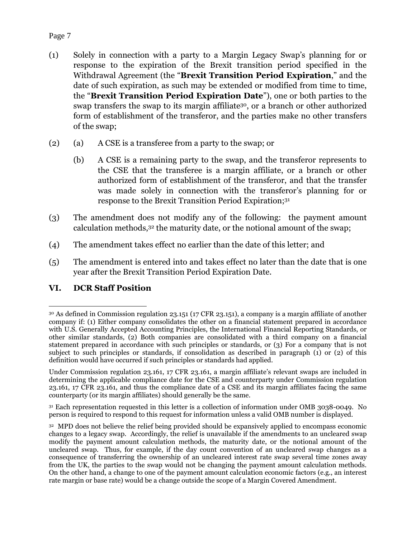- (1) Solely in connection with a party to a Margin Legacy Swap's planning for or response to the expiration of the Brexit transition period specified in the Withdrawal Agreement (the "**Brexit Transition Period Expiration**," and the date of such expiration, as such may be extended or modified from time to time, the "**Brexit Transition Period Expiration Date**"), one or both parties to the swap transfers the swap to its margin affiliate<sup>30</sup>, or a branch or other authorized form of establishment of the transferor, and the parties make no other transfers of the swap;
- (2) (a) A CSE is a transferee from a party to the swap; or
	- (b) A CSE is a remaining party to the swap, and the transferor represents to the CSE that the transferee is a margin affiliate, or a branch or other authorized form of establishment of the transferor, and that the transfer was made solely in connection with the transferor's planning for or response to the Brexit Transition Period Expiration;<sup>31</sup>
- (3) The amendment does not modify any of the following: the payment amount calculation methods,32 the maturity date, or the notional amount of the swap;
- (4) The amendment takes effect no earlier than the date of this letter; and
- (5) The amendment is entered into and takes effect no later than the date that is one year after the Brexit Transition Period Expiration Date.

#### **VI. DCR Staff Position**

 $\overline{a}$ 

<sup>31</sup> Each representation requested in this letter is a collection of information under OMB 3038-0049. No person is required to respond to this request for information unless a valid OMB number is displayed.

<sup>30</sup> As defined in Commission regulation 23.151 (17 CFR 23.151), a company is a margin affiliate of another company if: (1) Either company consolidates the other on a financial statement prepared in accordance with U.S. Generally Accepted Accounting Principles, the International Financial Reporting Standards, or other similar standards, (2) Both companies are consolidated with a third company on a financial statement prepared in accordance with such principles or standards, or (3) For a company that is not subject to such principles or standards, if consolidation as described in paragraph (1) or (2) of this definition would have occurred if such principles or standards had applied.

Under Commission regulation 23.161, 17 CFR 23.161, a margin affiliate's relevant swaps are included in determining the applicable compliance date for the CSE and counterparty under Commission regulation 23.161, 17 CFR 23.161, and thus the compliance date of a CSE and its margin affiliates facing the same counterparty (or its margin affiliates) should generally be the same.

<sup>32</sup> MPD does not believe the relief being provided should be expansively applied to encompass economic changes to a legacy swap. Accordingly, the relief is unavailable if the amendments to an uncleared swap modify the payment amount calculation methods, the maturity date, or the notional amount of the uncleared swap. Thus, for example, if the day count convention of an uncleared swap changes as a consequence of transferring the ownership of an uncleared interest rate swap several time zones away from the UK, the parties to the swap would not be changing the payment amount calculation methods. On the other hand, a change to one of the payment amount calculation economic factors (e.g., an interest rate margin or base rate) would be a change outside the scope of a Margin Covered Amendment.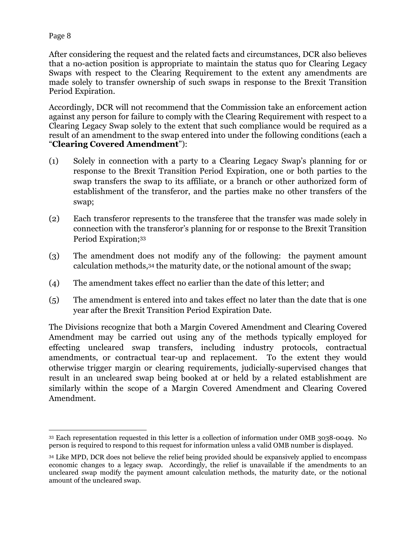After considering the request and the related facts and circumstances, DCR also believes that a no-action position is appropriate to maintain the status quo for Clearing Legacy Swaps with respect to the Clearing Requirement to the extent any amendments are made solely to transfer ownership of such swaps in response to the Brexit Transition Period Expiration.

Accordingly, DCR will not recommend that the Commission take an enforcement action against any person for failure to comply with the Clearing Requirement with respect to a Clearing Legacy Swap solely to the extent that such compliance would be required as a result of an amendment to the swap entered into under the following conditions (each a "**Clearing Covered Amendment**"):

- (1) Solely in connection with a party to a Clearing Legacy Swap's planning for or response to the Brexit Transition Period Expiration, one or both parties to the swap transfers the swap to its affiliate, or a branch or other authorized form of establishment of the transferor, and the parties make no other transfers of the swap;
- (2) Each transferor represents to the transferee that the transfer was made solely in connection with the transferor's planning for or response to the Brexit Transition Period Expiration;<sup>33</sup>
- (3) The amendment does not modify any of the following: the payment amount calculation methods,34 the maturity date, or the notional amount of the swap;
- (4) The amendment takes effect no earlier than the date of this letter; and
- (5) The amendment is entered into and takes effect no later than the date that is one year after the Brexit Transition Period Expiration Date.

The Divisions recognize that both a Margin Covered Amendment and Clearing Covered Amendment may be carried out using any of the methods typically employed for effecting uncleared swap transfers, including industry protocols, contractual amendments, or contractual tear-up and replacement. To the extent they would otherwise trigger margin or clearing requirements, judicially-supervised changes that result in an uncleared swap being booked at or held by a related establishment are similarly within the scope of a Margin Covered Amendment and Clearing Covered Amendment.

 $\overline{a}$ <sup>33</sup> Each representation requested in this letter is a collection of information under OMB 3038-0049. No person is required to respond to this request for information unless a valid OMB number is displayed.

<sup>34</sup> Like MPD, DCR does not believe the relief being provided should be expansively applied to encompass economic changes to a legacy swap. Accordingly, the relief is unavailable if the amendments to an uncleared swap modify the payment amount calculation methods, the maturity date, or the notional amount of the uncleared swap.